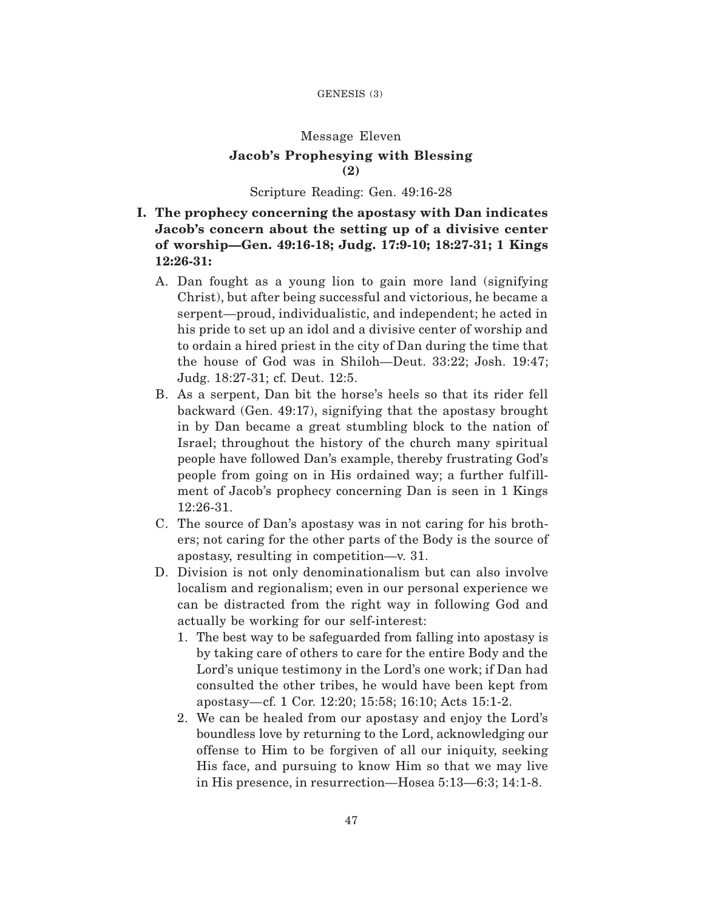# Message Eleven **Jacob's Prophesying with Blessing (2)**

#### Scripture Reading: Gen. 49:16-28

# **I. The prophecy concerning the apostasy with Dan indicates Jacob's concern about the setting up of a divisive center of worship—Gen. 49:16-18; Judg. 17:9-10; 18:27-31; 1 Kings 12:26-31:**

- A. Dan fought as a young lion to gain more land (signifying Christ), but after being successful and victorious, he became a serpent—proud, individualistic, and independent; he acted in his pride to set up an idol and a divisive center of worship and to ordain a hired priest in the city of Dan during the time that the house of God was in Shiloh—Deut. 33:22; Josh. 19:47; Judg. 18:27-31; cf. Deut. 12:5.
- B. As a serpent, Dan bit the horse's heels so that its rider fell backward (Gen. 49:17), signifying that the apostasy brought in by Dan became a great stumbling block to the nation of Israel; throughout the history of the church many spiritual people have followed Dan's example, thereby frustrating God's people from going on in His ordained way; a further fulfillment of Jacob's prophecy concerning Dan is seen in 1 Kings 12:26-31.
- C. The source of Dan's apostasy was in not caring for his brothers; not caring for the other parts of the Body is the source of apostasy, resulting in competition—v. 31.
- D. Division is not only denominationalism but can also involve localism and regionalism; even in our personal experience we can be distracted from the right way in following God and actually be working for our self-interest:
	- 1. The best way to be safeguarded from falling into apostasy is by taking care of others to care for the entire Body and the Lord's unique testimony in the Lord's one work; if Dan had consulted the other tribes, he would have been kept from apostasy—cf. 1 Cor. 12:20; 15:58; 16:10; Acts 15:1-2.
	- 2. We can be healed from our apostasy and enjoy the Lord's boundless love by returning to the Lord, acknowledging our offense to Him to be forgiven of all our iniquity, seeking His face, and pursuing to know Him so that we may live in His presence, in resurrection—Hosea 5:13—6:3; 14:1-8.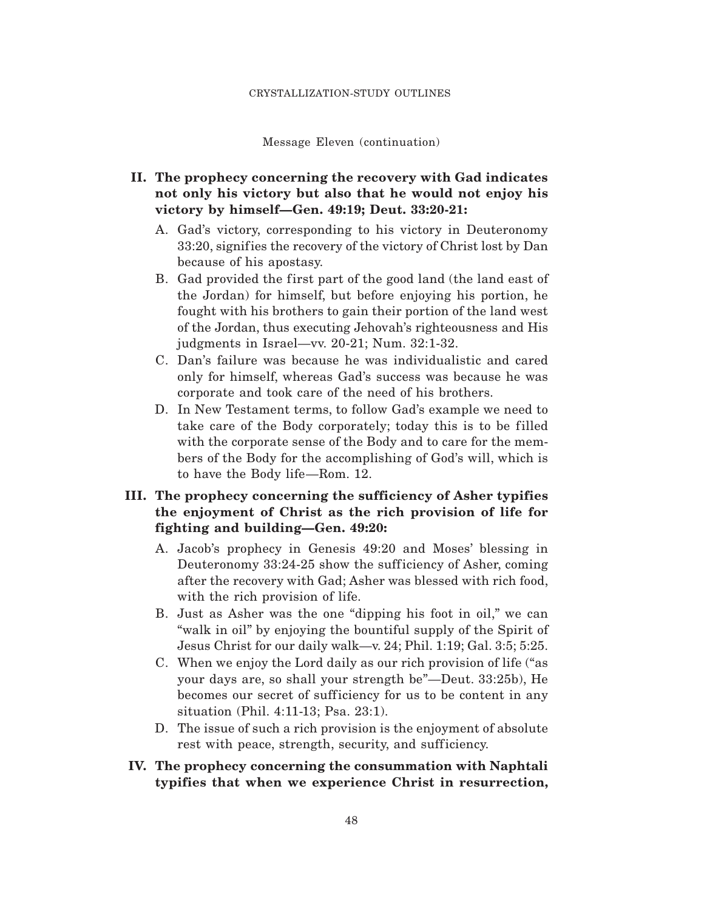Message Eleven (continuation)

### **II. The prophecy concerning the recovery with Gad indicates not only his victory but also that he would not enjoy his victory by himself—Gen. 49:19; Deut. 33:20-21:**

- A. Gad's victory, corresponding to his victory in Deuteronomy 33:20, signifies the recovery of the victory of Christ lost by Dan because of his apostasy.
- B. Gad provided the first part of the good land (the land east of the Jordan) for himself, but before enjoying his portion, he fought with his brothers to gain their portion of the land west of the Jordan, thus executing Jehovah's righteousness and His judgments in Israel—vv. 20-21; Num. 32:1-32.
- C. Dan's failure was because he was individualistic and cared only for himself, whereas Gad's success was because he was corporate and took care of the need of his brothers.
- D. In New Testament terms, to follow Gad's example we need to take care of the Body corporately; today this is to be filled with the corporate sense of the Body and to care for the members of the Body for the accomplishing of God's will, which is to have the Body life—Rom. 12.

### **III. The prophecy concerning the sufficiency of Asher typifies the enjoyment of Christ as the rich provision of life for fighting and building—Gen. 49:20:**

- A. Jacob's prophecy in Genesis 49:20 and Moses' blessing in Deuteronomy 33:24-25 show the sufficiency of Asher, coming after the recovery with Gad; Asher was blessed with rich food, with the rich provision of life.
- B. Just as Asher was the one "dipping his foot in oil," we can "walk in oil" by enjoying the bountiful supply of the Spirit of Jesus Christ for our daily walk—v. 24; Phil. 1:19; Gal. 3:5; 5:25.
- C. When we enjoy the Lord daily as our rich provision of life ("as your days are, so shall your strength be"—Deut. 33:25b), He becomes our secret of sufficiency for us to be content in any situation (Phil. 4:11-13; Psa. 23:1).
- D. The issue of such a rich provision is the enjoyment of absolute rest with peace, strength, security, and sufficiency.

### **IV. The prophecy concerning the consummation with Naphtali typifies that when we experience Christ in resurrection,**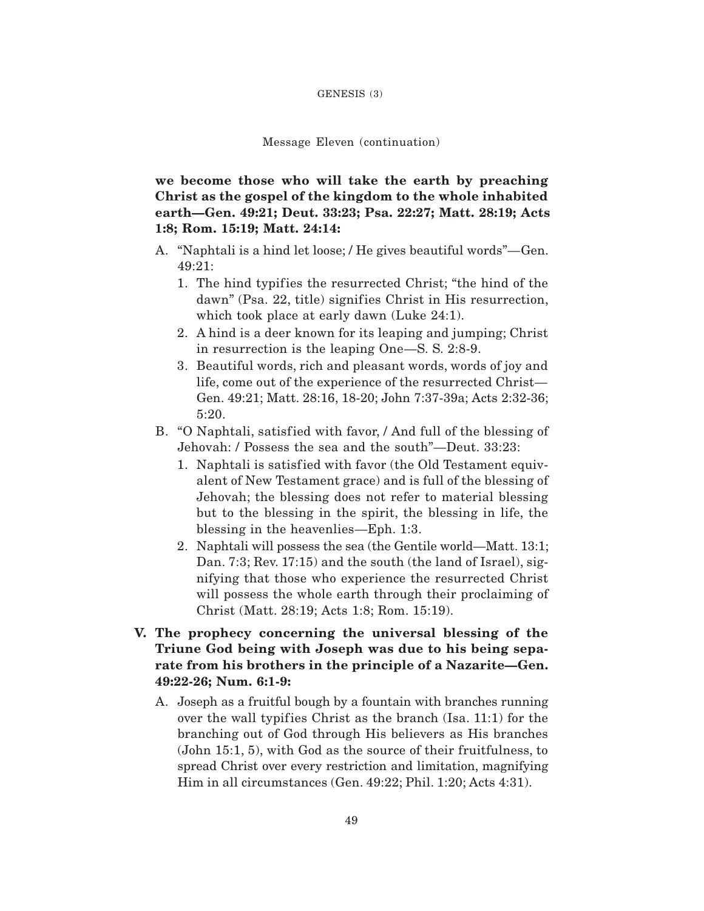#### GENESIS (3)

#### Message Eleven (continuation)

**we become those who will take the earth by preaching Christ as the gospel of the kingdom to the whole inhabited earth—Gen. 49:21; Deut. 33:23; Psa. 22:27; Matt. 28:19; Acts 1:8; Rom. 15:19; Matt. 24:14:**

- A. "Naphtali is a hind let loose; / He gives beautiful words"—Gen. 49:21:
	- 1. The hind typifies the resurrected Christ; "the hind of the dawn" (Psa. 22, title) signifies Christ in His resurrection, which took place at early dawn (Luke 24:1).
	- 2. A hind is a deer known for its leaping and jumping; Christ in resurrection is the leaping One—S. S. 2:8-9.
	- 3. Beautiful words, rich and pleasant words, words of joy and life, come out of the experience of the resurrected Christ— Gen. 49:21; Matt. 28:16, 18-20; John 7:37-39a; Acts 2:32-36; 5:20.
- B. "O Naphtali, satisfied with favor, */ And full of the blessing of* Jehovah: / Possess the sea and the south"—Deut. 33:23:
	- 1. Naphtali is satisfied with favor (the Old Testament equivalent of New Testament grace) and is full of the blessing of Jehovah; the blessing does not refer to material blessing but to the blessing in the spirit, the blessing in life, the blessing in the heavenlies—Eph. 1:3.
	- 2. Naphtali will possess the sea (the Gentile world—Matt. 13:1; Dan. 7:3; Rev. 17:15) and the south (the land of Israel), signifying that those who experience the resurrected Christ will possess the whole earth through their proclaiming of Christ (Matt. 28:19; Acts 1:8; Rom. 15:19).
- **V. The prophecy concerning the universal blessing of the Triune God being with Joseph was due to his being separate from his brothers in the principle of a Nazarite—Gen. 49:22-26; Num. 6:1-9:**
	- A. Joseph as a fruitful bough by a fountain with branches running over the wall typifies Christ as the branch (Isa. 11:1) for the branching out of God through His believers as His branches (John 15:1, 5), with God as the source of their fruitfulness, to spread Christ over every restriction and limitation, magnifying Him in all circumstances (Gen. 49:22; Phil. 1:20; Acts 4:31).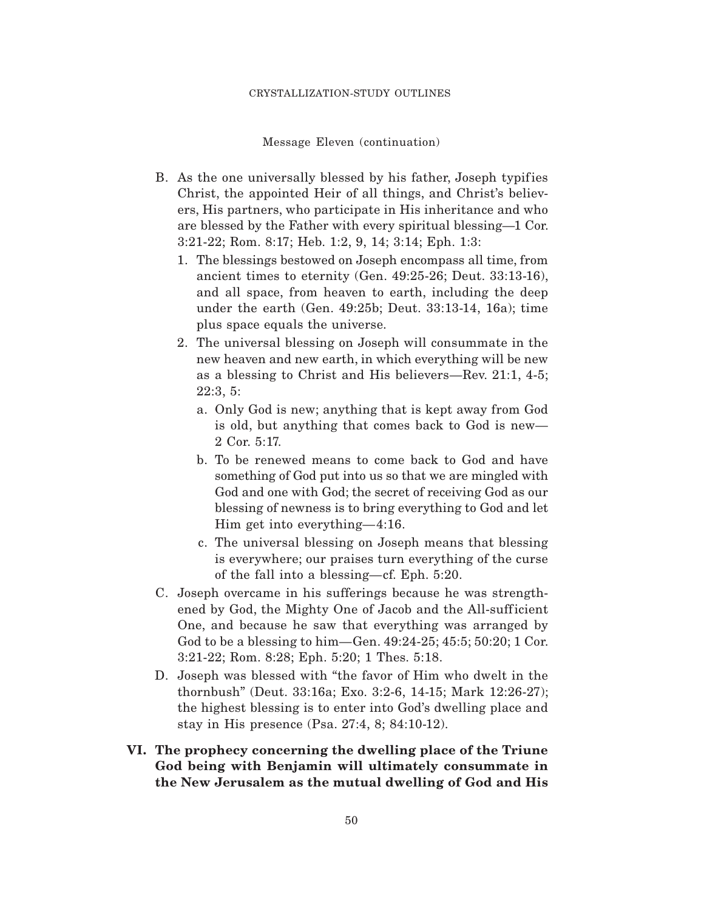Message Eleven (continuation)

- B. As the one universally blessed by his father, Joseph typifies Christ, the appointed Heir of all things, and Christ's believers, His partners, who participate in His inheritance and who are blessed by the Father with every spiritual blessing—1 Cor. 3:21-22; Rom. 8:17; Heb. 1:2, 9, 14; 3:14; Eph. 1:3:
	- 1. The blessings bestowed on Joseph encompass all time, from ancient times to eternity (Gen. 49:25-26; Deut. 33:13-16), and all space, from heaven to earth, including the deep under the earth (Gen. 49:25b; Deut. 33:13-14, 16a); time plus space equals the universe.
	- 2. The universal blessing on Joseph will consummate in the new heaven and new earth, in which everything will be new as a blessing to Christ and His believers—Rev. 21:1, 4-5; 22:3, 5:
		- a. Only God is new; anything that is kept away from God is old, but anything that comes back to God is new— 2 Cor. 5:17.
		- b. To be renewed means to come back to God and have something of God put into us so that we are mingled with God and one with God; the secret of receiving God as our blessing of newness is to bring everything to God and let Him get into everything—4:16.
		- c. The universal blessing on Joseph means that blessing is everywhere; our praises turn everything of the curse of the fall into a blessing—cf. Eph. 5:20.
- C. Joseph overcame in his sufferings because he was strengthened by God, the Mighty One of Jacob and the All-sufficient One, and because he saw that everything was arranged by God to be a blessing to him—Gen. 49:24-25; 45:5; 50:20; 1 Cor. 3:21-22; Rom. 8:28; Eph. 5:20; 1 Thes. 5:18.
- D. Joseph was blessed with "the favor of Him who dwelt in the thornbush" (Deut. 33:16a; Exo. 3:2-6, 14-15; Mark 12:26-27); the highest blessing is to enter into God's dwelling place and stay in His presence (Psa. 27:4, 8; 84:10-12).
- **VI. The prophecy concerning the dwelling place of the Triune God being with Benjamin will ultimately consummate in the New Jerusalem as the mutual dwelling of God and His**